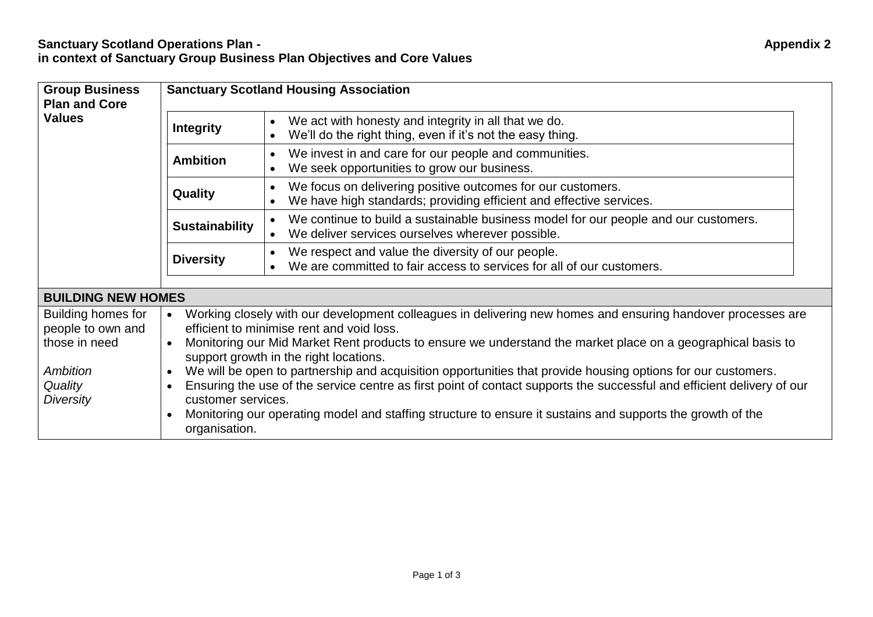| <b>Group Business</b><br><b>Plan and Core</b><br><b>Values</b> | <b>Sanctuary Scotland Housing Association</b>                                                                                                                                                                                                                                                                                                                                                                                                                            |                                                                                                                                         |  |
|----------------------------------------------------------------|--------------------------------------------------------------------------------------------------------------------------------------------------------------------------------------------------------------------------------------------------------------------------------------------------------------------------------------------------------------------------------------------------------------------------------------------------------------------------|-----------------------------------------------------------------------------------------------------------------------------------------|--|
|                                                                | <b>Integrity</b>                                                                                                                                                                                                                                                                                                                                                                                                                                                         | We act with honesty and integrity in all that we do.<br>We'll do the right thing, even if it's not the easy thing.                      |  |
|                                                                | <b>Ambition</b>                                                                                                                                                                                                                                                                                                                                                                                                                                                          | We invest in and care for our people and communities.<br>We seek opportunities to grow our business.                                    |  |
|                                                                | <b>Quality</b>                                                                                                                                                                                                                                                                                                                                                                                                                                                           | We focus on delivering positive outcomes for our customers.<br>We have high standards; providing efficient and effective services.      |  |
|                                                                | <b>Sustainability</b>                                                                                                                                                                                                                                                                                                                                                                                                                                                    | We continue to build a sustainable business model for our people and our customers.<br>We deliver services ourselves wherever possible. |  |
|                                                                | <b>Diversity</b>                                                                                                                                                                                                                                                                                                                                                                                                                                                         | We respect and value the diversity of our people.<br>We are committed to fair access to services for all of our customers.              |  |
| <b>BUILDING NEW HOMES</b>                                      |                                                                                                                                                                                                                                                                                                                                                                                                                                                                          |                                                                                                                                         |  |
| Building homes for<br>people to own and<br>those in need       | Working closely with our development colleagues in delivering new homes and ensuring handover processes are<br>$\bullet$<br>efficient to minimise rent and void loss.<br>Monitoring our Mid Market Rent products to ensure we understand the market place on a geographical basis to<br>$\bullet$<br>support growth in the right locations.<br>We will be open to partnership and acquisition opportunities that provide housing options for our customers.<br>$\bullet$ |                                                                                                                                         |  |
| Ambition                                                       |                                                                                                                                                                                                                                                                                                                                                                                                                                                                          |                                                                                                                                         |  |
| Quality<br>Diversity                                           | Ensuring the use of the service centre as first point of contact supports the successful and efficient delivery of our<br>$\bullet$<br>customer services.                                                                                                                                                                                                                                                                                                                |                                                                                                                                         |  |
|                                                                | $\bullet$<br>organisation.                                                                                                                                                                                                                                                                                                                                                                                                                                               | Monitoring our operating model and staffing structure to ensure it sustains and supports the growth of the                              |  |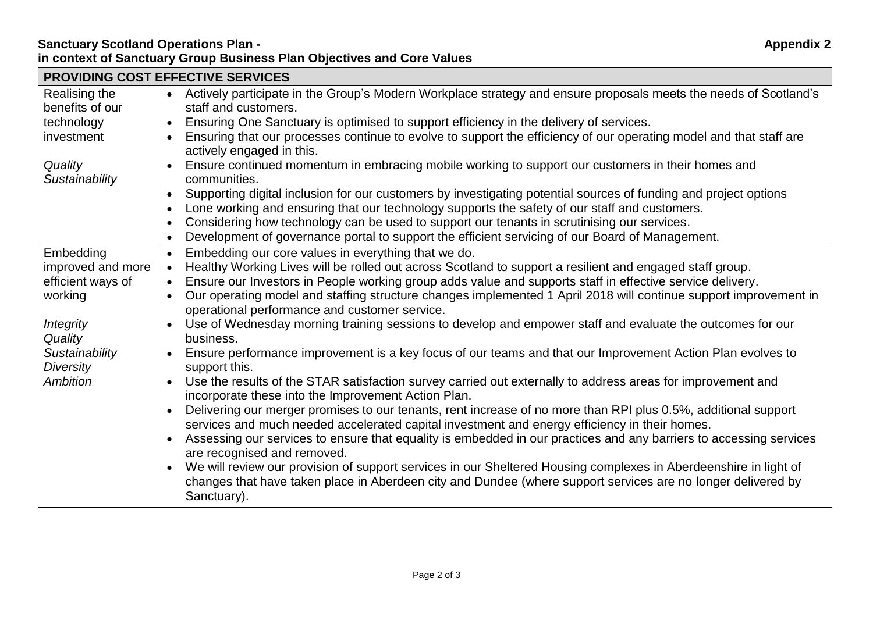## **Sanctuary Scotland Operations Plan - Appendix 2 in context of Sanctuary Group Business Plan Objectives and Core Values**

| <b>PROVIDING COST EFFECTIVE SERVICES</b> |                                                                                                                                                                                                                                                              |  |  |
|------------------------------------------|--------------------------------------------------------------------------------------------------------------------------------------------------------------------------------------------------------------------------------------------------------------|--|--|
| Realising the                            | Actively participate in the Group's Modern Workplace strategy and ensure proposals meets the needs of Scotland's<br>$\bullet$                                                                                                                                |  |  |
| benefits of our                          | staff and customers.                                                                                                                                                                                                                                         |  |  |
| technology                               | Ensuring One Sanctuary is optimised to support efficiency in the delivery of services.<br>$\bullet$                                                                                                                                                          |  |  |
| investment                               | Ensuring that our processes continue to evolve to support the efficiency of our operating model and that staff are<br>$\bullet$<br>actively engaged in this.                                                                                                 |  |  |
| Quality<br>Sustainability                | Ensure continued momentum in embracing mobile working to support our customers in their homes and<br>$\bullet$<br>communities.                                                                                                                               |  |  |
|                                          | Supporting digital inclusion for our customers by investigating potential sources of funding and project options<br>$\bullet$                                                                                                                                |  |  |
|                                          | Lone working and ensuring that our technology supports the safety of our staff and customers.<br>$\bullet$                                                                                                                                                   |  |  |
|                                          | Considering how technology can be used to support our tenants in scrutinising our services.<br>$\bullet$                                                                                                                                                     |  |  |
|                                          | Development of governance portal to support the efficient servicing of our Board of Management.<br>$\bullet$                                                                                                                                                 |  |  |
| Embedding                                | Embedding our core values in everything that we do.<br>$\bullet$                                                                                                                                                                                             |  |  |
| improved and more                        | Healthy Working Lives will be rolled out across Scotland to support a resilient and engaged staff group.<br>$\bullet$                                                                                                                                        |  |  |
| efficient ways of                        | Ensure our Investors in People working group adds value and supports staff in effective service delivery.<br>$\bullet$                                                                                                                                       |  |  |
| working                                  | Our operating model and staffing structure changes implemented 1 April 2018 will continue support improvement in<br>$\bullet$<br>operational performance and customer service.                                                                               |  |  |
| <b>Integrity</b><br>Quality              | Use of Wednesday morning training sessions to develop and empower staff and evaluate the outcomes for our<br>business.                                                                                                                                       |  |  |
| Sustainability<br><b>Diversity</b>       | Ensure performance improvement is a key focus of our teams and that our Improvement Action Plan evolves to<br>$\bullet$<br>support this.                                                                                                                     |  |  |
| <b>Ambition</b>                          | Use the results of the STAR satisfaction survey carried out externally to address areas for improvement and<br>incorporate these into the Improvement Action Plan.                                                                                           |  |  |
|                                          | Delivering our merger promises to our tenants, rent increase of no more than RPI plus 0.5%, additional support<br>$\bullet$<br>services and much needed accelerated capital investment and energy efficiency in their homes.                                 |  |  |
|                                          | Assessing our services to ensure that equality is embedded in our practices and any barriers to accessing services<br>$\bullet$<br>are recognised and removed.                                                                                               |  |  |
|                                          | We will review our provision of support services in our Sheltered Housing complexes in Aberdeenshire in light of<br>$\bullet$<br>changes that have taken place in Aberdeen city and Dundee (where support services are no longer delivered by<br>Sanctuary). |  |  |